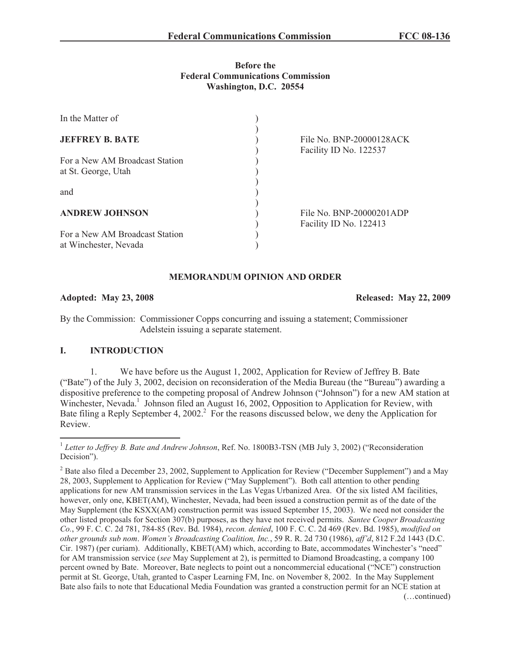## **Before the Federal Communications Commission Washington, D.C. 20554**

| In the Matter of                                        |                                                    |
|---------------------------------------------------------|----------------------------------------------------|
| <b>JEFFREY B. BATE</b>                                  | File No. BNP-20000128ACK<br>Facility ID No. 122537 |
| For a New AM Broadcast Station<br>at St. George, Utah   |                                                    |
| and                                                     |                                                    |
| <b>ANDREW JOHNSON</b>                                   | File No. BNP-20000201ADP<br>Facility ID No. 122413 |
| For a New AM Broadcast Station<br>at Winchester, Nevada |                                                    |

## **MEMORANDUM OPINION AND ORDER**

**Adopted: May 23, 2008 Released: May 22, 2009**

By the Commission: Commissioner Copps concurring and issuing a statement; Commissioner Adelstein issuing a separate statement.

# **I. INTRODUCTION**

1. We have before us the August 1, 2002, Application for Review of Jeffrey B. Bate ("Bate") of the July 3, 2002, decision on reconsideration of the Media Bureau (the "Bureau") awarding a dispositive preference to the competing proposal of Andrew Johnson ("Johnson") for a new AM station at Winchester, Nevada.<sup>1</sup> Johnson filed an August 16, 2002, Opposition to Application for Review, with Bate filing a Reply September 4, 2002.<sup>2</sup> For the reasons discussed below, we deny the Application for Review.

<sup>&</sup>lt;sup>1</sup> Letter to Jeffrey B. Bate and Andrew Johnson, Ref. No. 1800B3-TSN (MB July 3, 2002) ("Reconsideration Decision").

<sup>&</sup>lt;sup>2</sup> Bate also filed a December 23, 2002, Supplement to Application for Review ("December Supplement") and a May 28, 2003, Supplement to Application for Review ("May Supplement"). Both call attention to other pending applications for new AM transmission services in the Las Vegas Urbanized Area. Of the six listed AM facilities, however, only one, KBET(AM), Winchester, Nevada, had been issued a construction permit as of the date of the May Supplement (the KSXX(AM) construction permit was issued September 15, 2003). We need not consider the other listed proposals for Section 307(b) purposes, as they have not received permits. *Santee Cooper Broadcasting Co.*, 99 F. C. C. 2d 781, 784-85 (Rev. Bd. 1984), *recon. denied*, 100 F. C. C. 2d 469 (Rev. Bd. 1985), *modified on other grounds sub nom*. *Women's Broadcasting Coalition, Inc.*, 59 R. R. 2d 730 (1986), *aff'd*, 812 F.2d 1443 (D.C. Cir. 1987) (per curiam). Additionally, KBET(AM) which, according to Bate, accommodates Winchester's "need" for AM transmission service (*see* May Supplement at 2), is permitted to Diamond Broadcasting, a company 100 percent owned by Bate. Moreover, Bate neglects to point out a noncommercial educational ("NCE") construction permit at St. George, Utah, granted to Casper Learning FM, Inc. on November 8, 2002. In the May Supplement Bate also fails to note that Educational Media Foundation was granted a construction permit for an NCE station at (…continued)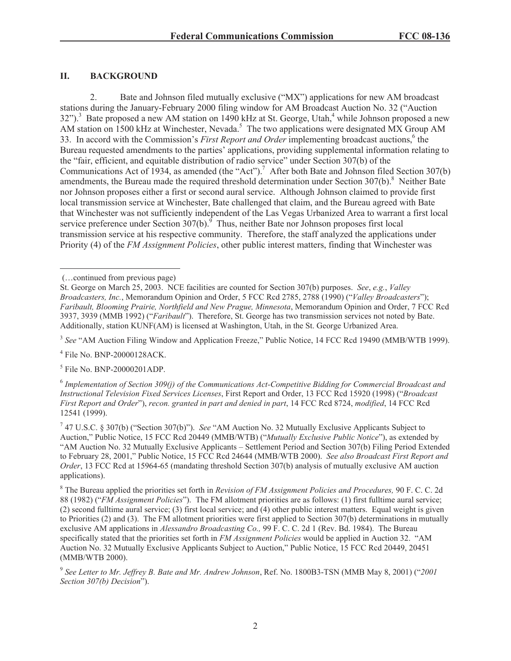# **II. BACKGROUND**

2. Bate and Johnson filed mutually exclusive ("MX") applications for new AM broadcast stations during the January-February 2000 filing window for AM Broadcast Auction No. 32 ("Auction  $32$ ").<sup>3</sup> Bate proposed a new AM station on 1490 kHz at St. George, Utah,<sup>4</sup> while Johnson proposed a new AM station on 1500 kHz at Winchester, Nevada.<sup>5</sup> The two applications were designated  $\overrightarrow{MX}$  Group AM 33. In accord with the Commission's *First Report and Order* implementing broadcast auctions,<sup>6</sup> the Bureau requested amendments to the parties' applications, providing supplemental information relating to the "fair, efficient, and equitable distribution of radio service" under Section 307(b) of the Communications Act of 1934, as amended (the "Act").<sup>7</sup> After both Bate and Johnson filed Section 307(b) amendments, the Bureau made the required threshold determination under Section 307(b).<sup>8</sup> Neither Bate nor Johnson proposes either a first or second aural service. Although Johnson claimed to provide first local transmission service at Winchester, Bate challenged that claim, and the Bureau agreed with Bate that Winchester was not sufficiently independent of the Las Vegas Urbanized Area to warrant a first local service preference under Section  $307(b)$ .<sup>9</sup> Thus, neither Bate nor Johnson proposes first local transmission service at his respective community. Therefore, the staff analyzed the applications under Priority (4) of the *FM Assignment Policies*, other public interest matters, finding that Winchester was

<sup>3</sup> See "AM Auction Filing Window and Application Freeze," Public Notice, 14 FCC Rcd 19490 (MMB/WTB 1999).

4 File No. BNP-20000128ACK.

5 File No. BNP-20000201ADP.

<sup>(…</sup>continued from previous page)

St. George on March 25, 2003. NCE facilities are counted for Section 307(b) purposes. *See*, *e.g.*, *Valley Broadcasters, Inc.*, Memorandum Opinion and Order, 5 FCC Rcd 2785, 2788 (1990) ("*Valley Broadcasters*"); *Faribault, Blooming Prairie, Northfield and New Prague, Minnesota*, Memorandum Opinion and Order, 7 FCC Rcd 3937, 3939 (MMB 1992) ("*Faribault*"). Therefore, St. George has two transmission services not noted by Bate. Additionally, station KUNF(AM) is licensed at Washington, Utah, in the St. George Urbanized Area.

<sup>6</sup> *Implementation of Section 309(j) of the Communications Act-Competitive Bidding for Commercial Broadcast and Instructional Television Fixed Services Licenses*, First Report and Order, 13 FCC Rcd 15920 (1998) ("*Broadcast First Report and Order*"), *recon. granted in part and denied in part*, 14 FCC Rcd 8724, *modified*, 14 FCC Rcd 12541 (1999).

<sup>7</sup> 47 U.S.C. § 307(b) ("Section 307(b)"). *See* "AM Auction No. 32 Mutually Exclusive Applicants Subject to Auction," Public Notice, 15 FCC Rcd 20449 (MMB/WTB) ("*Mutually Exclusive Public Notice*"), as extended by "AM Auction No. 32 Mutually Exclusive Applicants – Settlement Period and Section 307(b) Filing Period Extended to February 28, 2001," Public Notice, 15 FCC Rcd 24644 (MMB/WTB 2000). *See also Broadcast First Report and Order*, 13 FCC Rcd at 15964-65 (mandating threshold Section 307(b) analysis of mutually exclusive AM auction applications).

<sup>8</sup> The Bureau applied the priorities set forth in *Revision of FM Assignment Policies and Procedures,* 90 F. C. C. 2d 88 (1982) ("*FM Assignment Policies*"). The FM allotment priorities are as follows: (1) first fulltime aural service; (2) second fulltime aural service; (3) first local service; and (4) other public interest matters. Equal weight is given to Priorities (2) and (3). The FM allotment priorities were first applied to Section 307(b) determinations in mutually exclusive AM applications in *Alessandro Broadcasting Co.,* 99 F. C. C. 2d 1 (Rev. Bd. 1984). The Bureau specifically stated that the priorities set forth in *FM Assignment Policies* would be applied in Auction 32. "AM Auction No. 32 Mutually Exclusive Applicants Subject to Auction," Public Notice, 15 FCC Rcd 20449, 20451 (MMB/WTB 2000).

<sup>9</sup> *See Letter to Mr. Jeffrey B. Bate and Mr. Andrew Johnson*, Ref. No. 1800B3-TSN (MMB May 8, 2001) ("*2001 Section 307(b) Decision*").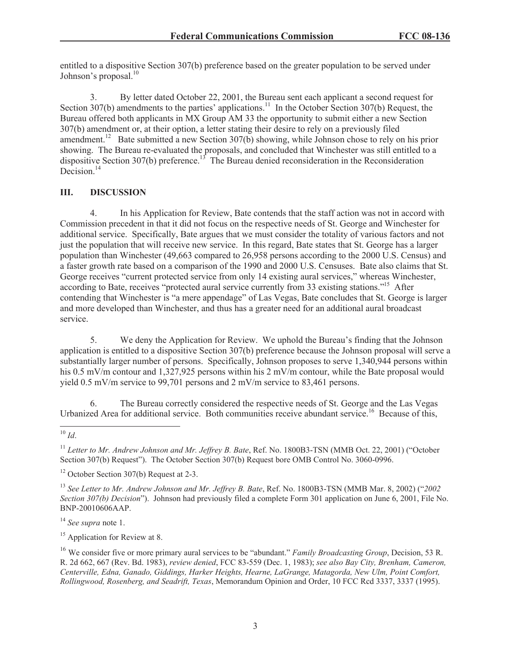entitled to a dispositive Section 307(b) preference based on the greater population to be served under Johnson's proposal.<sup>10</sup>

3. By letter dated October 22, 2001, the Bureau sent each applicant a second request for Section 307(b) amendments to the parties' applications.<sup>11</sup> In the October Section 307(b) Request, the Bureau offered both applicants in MX Group AM 33 the opportunity to submit either a new Section 307(b) amendment or, at their option, a letter stating their desire to rely on a previously filed amendment.<sup>12</sup> Bate submitted a new Section 307(b) showing, while Johnson chose to rely on his prior showing. The Bureau re-evaluated the proposals, and concluded that Winchester was still entitled to a dispositive Section 307(b) preference.<sup>13</sup> The Bureau denied reconsideration in the Reconsideration Decision.<sup>14</sup>

# **III. DISCUSSION**

4. In his Application for Review, Bate contends that the staff action was not in accord with Commission precedent in that it did not focus on the respective needs of St. George and Winchester for additional service. Specifically, Bate argues that we must consider the totality of various factors and not just the population that will receive new service. In this regard, Bate states that St. George has a larger population than Winchester (49,663 compared to 26,958 persons according to the 2000 U.S. Census) and a faster growth rate based on a comparison of the 1990 and 2000 U.S. Censuses. Bate also claims that St. George receives "current protected service from only 14 existing aural services," whereas Winchester, according to Bate, receives "protected aural service currently from 33 existing stations."<sup>15</sup> After contending that Winchester is "a mere appendage" of Las Vegas, Bate concludes that St. George is larger and more developed than Winchester, and thus has a greater need for an additional aural broadcast service.

5. We deny the Application for Review. We uphold the Bureau's finding that the Johnson application is entitled to a dispositive Section 307(b) preference because the Johnson proposal will serve a substantially larger number of persons. Specifically, Johnson proposes to serve 1,340,944 persons within his 0.5 mV/m contour and 1,327,925 persons within his 2 mV/m contour, while the Bate proposal would yield 0.5 mV/m service to 99,701 persons and 2 mV/m service to 83,461 persons.

6. The Bureau correctly considered the respective needs of St. George and the Las Vegas Urbanized Area for additional service. Both communities receive abundant service.<sup>16</sup> Because of this,

<sup>11</sup> *Letter to Mr. Andrew Johnson and Mr. Jeffrey B. Bate*, Ref. No. 1800B3-TSN (MMB Oct. 22, 2001) ("October Section 307(b) Request"). The October Section 307(b) Request bore OMB Control No. 3060-0996.

<sup>13</sup> *See Letter to Mr. Andrew Johnson and Mr. Jeffrey B. Bate*, Ref. No. 1800B3-TSN (MMB Mar. 8, 2002) ("*2002 Section 307(b) Decision*"). Johnson had previously filed a complete Form 301 application on June 6, 2001, File No. BNP-20010606AAP.

<sup>14</sup> *See supra* note 1.

<sup>15</sup> Application for Review at 8.

<sup>16</sup> We consider five or more primary aural services to be "abundant." *Family Broadcasting Group*, Decision, 53 R. R. 2d 662, 667 (Rev. Bd. 1983), *review denied*, FCC 83-559 (Dec. 1, 1983); *see also Bay City, Brenham, Cameron, Centerville, Edna, Ganado, Giddings, Harker Heights, Hearne, LaGrange, Matagorda, New Ulm, Point Comfort, Rollingwood, Rosenberg, and Seadrift, Texas*, Memorandum Opinion and Order, 10 FCC Rcd 3337, 3337 (1995).

 $10 \,$ *Id*.

 $12$  October Section 307(b) Request at 2-3.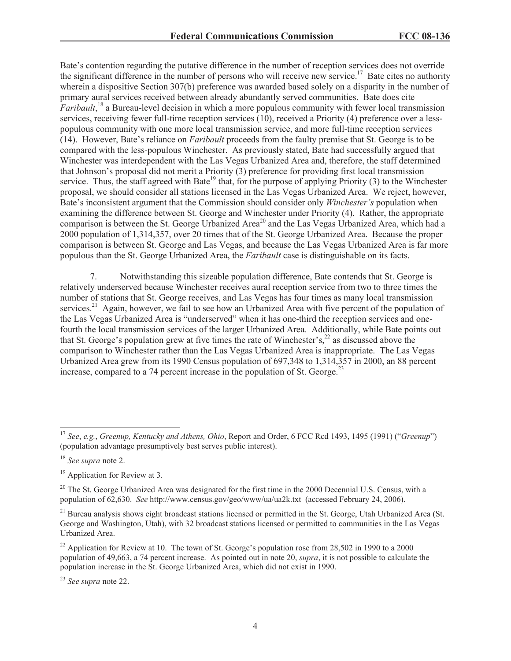Bate's contention regarding the putative difference in the number of reception services does not override the significant difference in the number of persons who will receive new service.<sup>17</sup> Bate cites no authority wherein a dispositive Section 307(b) preference was awarded based solely on a disparity in the number of primary aural services received between already abundantly served communities. Bate does cite *Faribault*, <sup>18</sup> a Bureau-level decision in which a more populous community with fewer local transmission services, receiving fewer full-time reception services (10), received a Priority (4) preference over a lesspopulous community with one more local transmission service, and more full-time reception services (14). However, Bate's reliance on *Faribault* proceeds from the faulty premise that St. George is to be compared with the less-populous Winchester. As previously stated, Bate had successfully argued that Winchester was interdependent with the Las Vegas Urbanized Area and, therefore, the staff determined that Johnson's proposal did not merit a Priority (3) preference for providing first local transmission service. Thus, the staff agreed with Bate<sup>19</sup> that, for the purpose of applying Priority (3) to the Winchester proposal, we should consider all stations licensed in the Las Vegas Urbanized Area. We reject, however, Bate's inconsistent argument that the Commission should consider only *Winchester's* population when examining the difference between St. George and Winchester under Priority (4). Rather, the appropriate comparison is between the St. George Urbanized Area<sup>20</sup> and the Las Vegas Urbanized Area, which had a 2000 population of 1,314,357, over 20 times that of the St. George Urbanized Area. Because the proper comparison is between St. George and Las Vegas, and because the Las Vegas Urbanized Area is far more populous than the St. George Urbanized Area, the *Faribault* case is distinguishable on its facts.

7. Notwithstanding this sizeable population difference, Bate contends that St. George is relatively underserved because Winchester receives aural reception service from two to three times the number of stations that St. George receives, and Las Vegas has four times as many local transmission services.<sup>21</sup> Again, however, we fail to see how an Urbanized Area with five percent of the population of the Las Vegas Urbanized Area is "underserved" when it has one-third the reception services and onefourth the local transmission services of the larger Urbanized Area. Additionally, while Bate points out that St. George's population grew at five times the rate of Winchester's,<sup>22</sup> as discussed above the comparison to Winchester rather than the Las Vegas Urbanized Area is inappropriate. The Las Vegas Urbanized Area grew from its 1990 Census population of 697,348 to 1,314,357 in 2000, an 88 percent increase, compared to a 74 percent increase in the population of St. George.<sup>23</sup>

<sup>17</sup> *See*, *e.g.*, *Greenup, Kentucky and Athens, Ohio*, Report and Order, 6 FCC Rcd 1493, 1495 (1991) ("*Greenup*") (population advantage presumptively best serves public interest).

<sup>18</sup> *See supra* note 2.

<sup>&</sup>lt;sup>19</sup> Application for Review at 3.

<sup>&</sup>lt;sup>20</sup> The St. George Urbanized Area was designated for the first time in the 2000 Decennial U.S. Census, with a population of 62,630. *See* http://www.census.gov/geo/www/ua/ua2k.txt (accessed February 24, 2006).

<sup>&</sup>lt;sup>21</sup> Bureau analysis shows eight broadcast stations licensed or permitted in the St. George, Utah Urbanized Area (St. George and Washington, Utah), with 32 broadcast stations licensed or permitted to communities in the Las Vegas Urbanized Area.

<sup>&</sup>lt;sup>22</sup> Application for Review at 10. The town of St. George's population rose from 28,502 in 1990 to a 2000 population of 49,663, a 74 percent increase. As pointed out in note 20, *supra*, it is not possible to calculate the population increase in the St. George Urbanized Area, which did not exist in 1990.

<sup>23</sup> *See supra* note 22.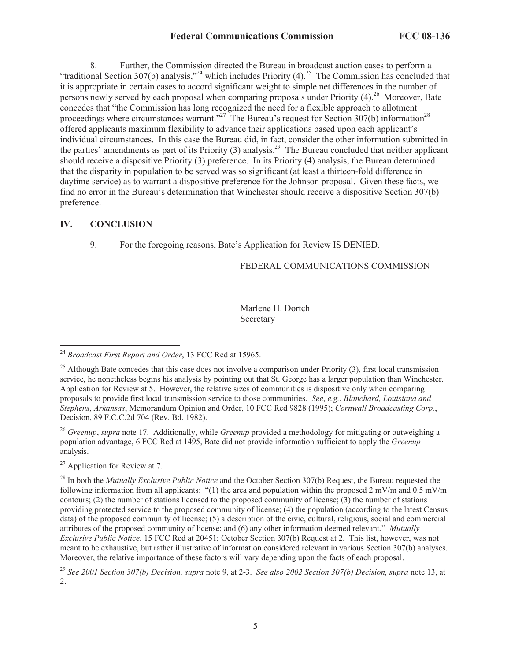8. Further, the Commission directed the Bureau in broadcast auction cases to perform a "traditional Section 307(b) analysis,"<sup>24</sup> which includes Priority  $(4)$ .<sup>25</sup> The Commission has concluded that it is appropriate in certain cases to accord significant weight to simple net differences in the number of persons newly served by each proposal when comparing proposals under Priority  $(4)$ <sup>26</sup> Moreover, Bate concedes that "the Commission has long recognized the need for a flexible approach to allotment proceedings where circumstances warrant."<sup>27</sup> The Bureau's request for Section 307(b) information<sup>28</sup> offered applicants maximum flexibility to advance their applications based upon each applicant's individual circumstances. In this case the Bureau did, in fact, consider the other information submitted in the parties' amendments as part of its Priority  $(3)$  analysis.<sup>29</sup> The Bureau concluded that neither applicant should receive a dispositive Priority (3) preference. In its Priority (4) analysis, the Bureau determined that the disparity in population to be served was so significant (at least a thirteen-fold difference in daytime service) as to warrant a dispositive preference for the Johnson proposal. Given these facts, we find no error in the Bureau's determination that Winchester should receive a dispositive Section 307(b) preference.

### **IV. CONCLUSION**

9. For the foregoing reasons, Bate's Application for Review IS DENIED.

## FEDERAL COMMUNICATIONS COMMISSION

Marlene H. Dortch Secretary

<sup>26</sup> *Greenup*, *supra* note 17. Additionally, while *Greenup* provided a methodology for mitigating or outweighing a population advantage, 6 FCC Rcd at 1495, Bate did not provide information sufficient to apply the *Greenup* analysis.

 $27$  Application for Review at 7.

<sup>24</sup> *Broadcast First Report and Order*, 13 FCC Rcd at 15965.

 $^{25}$  Although Bate concedes that this case does not involve a comparison under Priority (3), first local transmission service, he nonetheless begins his analysis by pointing out that St. George has a larger population than Winchester. Application for Review at 5. However, the relative sizes of communities is dispositive only when comparing proposals to provide first local transmission service to those communities. *See*, *e.g.*, *Blanchard, Louisiana and Stephens, Arkansas*, Memorandum Opinion and Order, 10 FCC Rcd 9828 (1995); *Cornwall Broadcasting Corp.*, Decision, 89 F.C.C.2d 704 (Rev. Bd. 1982).

<sup>28</sup> In both the *Mutually Exclusive Public Notice* and the October Section 307(b) Request, the Bureau requested the following information from all applicants: "(1) the area and population within the proposed 2 mV/m and 0.5 mV/m contours; (2) the number of stations licensed to the proposed community of license; (3) the number of stations providing protected service to the proposed community of license; (4) the population (according to the latest Census data) of the proposed community of license; (5) a description of the civic, cultural, religious, social and commercial attributes of the proposed community of license; and (6) any other information deemed relevant." *Mutually Exclusive Public Notice*, 15 FCC Rcd at 20451; October Section 307(b) Request at 2. This list, however, was not meant to be exhaustive, but rather illustrative of information considered relevant in various Section 307(b) analyses. Moreover, the relative importance of these factors will vary depending upon the facts of each proposal.

<sup>29</sup> *See 2001 Section 307(b) Decision, supra* note 9, at 2-3. *See also 2002 Section 307(b) Decision, supra* note 13, at 2.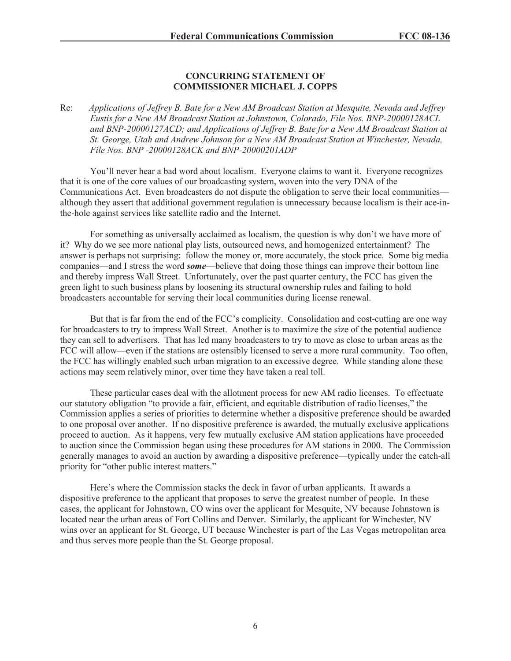## **CONCURRING STATEMENT OF COMMISSIONER MICHAEL J. COPPS**

Re: *Applications of Jeffrey B. Bate for a New AM Broadcast Station at Mesquite, Nevada and Jeffrey Eustis for a New AM Broadcast Station at Johnstown, Colorado, File Nos. BNP-20000128ACL and BNP-20000127ACD; and Applications of Jeffrey B. Bate for a New AM Broadcast Station at St. George, Utah and Andrew Johnson for a New AM Broadcast Station at Winchester, Nevada, File Nos. BNP -20000128ACK and BNP-20000201ADP*

You'll never hear a bad word about localism. Everyone claims to want it. Everyone recognizes that it is one of the core values of our broadcasting system, woven into the very DNA of the Communications Act. Even broadcasters do not dispute the obligation to serve their local communities although they assert that additional government regulation is unnecessary because localism is their ace-inthe-hole against services like satellite radio and the Internet.

For something as universally acclaimed as localism, the question is why don't we have more of it? Why do we see more national play lists, outsourced news, and homogenized entertainment? The answer is perhaps not surprising: follow the money or, more accurately, the stock price. Some big media companies—and I stress the word *some*—believe that doing those things can improve their bottom line and thereby impress Wall Street. Unfortunately, over the past quarter century, the FCC has given the green light to such business plans by loosening its structural ownership rules and failing to hold broadcasters accountable for serving their local communities during license renewal.

But that is far from the end of the FCC's complicity. Consolidation and cost-cutting are one way for broadcasters to try to impress Wall Street. Another is to maximize the size of the potential audience they can sell to advertisers. That has led many broadcasters to try to move as close to urban areas as the FCC will allow—even if the stations are ostensibly licensed to serve a more rural community. Too often, the FCC has willingly enabled such urban migration to an excessive degree. While standing alone these actions may seem relatively minor, over time they have taken a real toll.

These particular cases deal with the allotment process for new AM radio licenses. To effectuate our statutory obligation "to provide a fair, efficient, and equitable distribution of radio licenses," the Commission applies a series of priorities to determine whether a dispositive preference should be awarded to one proposal over another. If no dispositive preference is awarded, the mutually exclusive applications proceed to auction. As it happens, very few mutually exclusive AM station applications have proceeded to auction since the Commission began using these procedures for AM stations in 2000. The Commission generally manages to avoid an auction by awarding a dispositive preference—typically under the catch-all priority for "other public interest matters."

Here's where the Commission stacks the deck in favor of urban applicants. It awards a dispositive preference to the applicant that proposes to serve the greatest number of people. In these cases, the applicant for Johnstown, CO wins over the applicant for Mesquite, NV because Johnstown is located near the urban areas of Fort Collins and Denver. Similarly, the applicant for Winchester, NV wins over an applicant for St. George, UT because Winchester is part of the Las Vegas metropolitan area and thus serves more people than the St. George proposal.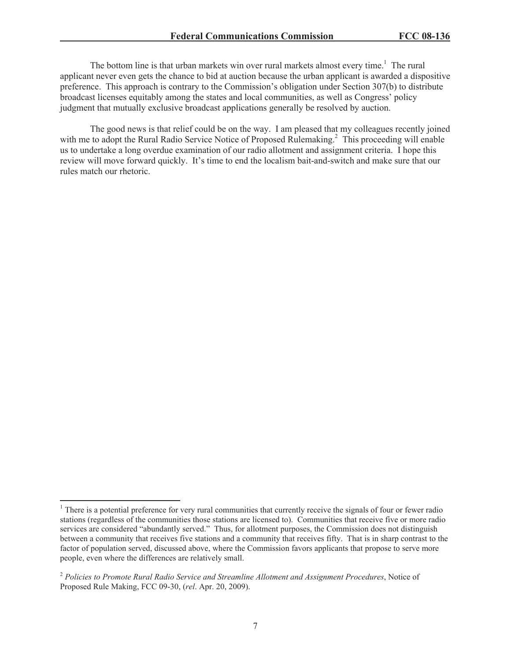The bottom line is that urban markets win over rural markets almost every time.<sup>1</sup> The rural applicant never even gets the chance to bid at auction because the urban applicant is awarded a dispositive preference. This approach is contrary to the Commission's obligation under Section 307(b) to distribute broadcast licenses equitably among the states and local communities, as well as Congress' policy judgment that mutually exclusive broadcast applications generally be resolved by auction.

The good news is that relief could be on the way. I am pleased that my colleagues recently joined with me to adopt the Rural Radio Service Notice of Proposed Rulemaking.<sup>2</sup> This proceeding will enable us to undertake a long overdue examination of our radio allotment and assignment criteria. I hope this review will move forward quickly. It's time to end the localism bait-and-switch and make sure that our rules match our rhetoric.

<sup>&</sup>lt;sup>1</sup> There is a potential preference for very rural communities that currently receive the signals of four or fewer radio stations (regardless of the communities those stations are licensed to). Communities that receive five or more radio services are considered "abundantly served." Thus, for allotment purposes, the Commission does not distinguish between a community that receives five stations and a community that receives fifty. That is in sharp contrast to the factor of population served, discussed above, where the Commission favors applicants that propose to serve more people, even where the differences are relatively small.

<sup>2</sup> *Policies to Promote Rural Radio Service and Streamline Allotment and Assignment Procedures*, Notice of Proposed Rule Making, FCC 09-30, (*rel*. Apr. 20, 2009).